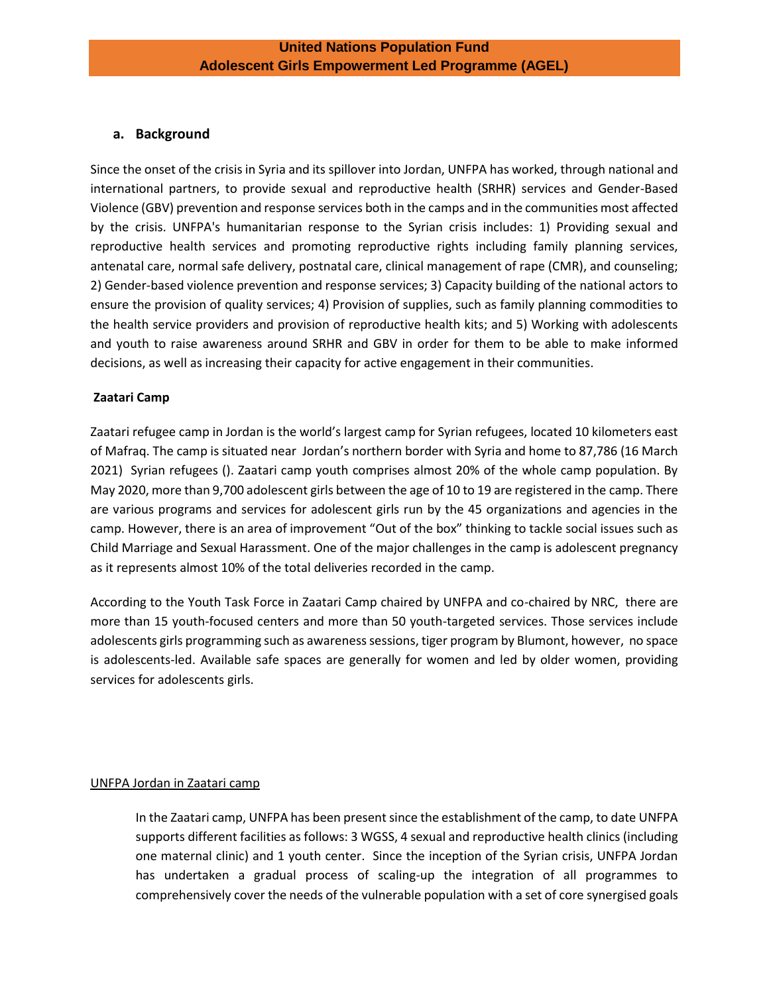## **a. Background**

Since the onset of the crisis in Syria and its spillover into Jordan, UNFPA has worked, through national and international partners, to provide sexual and reproductive health (SRHR) services and Gender-Based Violence (GBV) prevention and response services both in the camps and in the communities most affected by the crisis. UNFPA's humanitarian response to the Syrian crisis includes: 1) Providing sexual and reproductive health services and promoting reproductive rights including family planning services, antenatal care, normal safe delivery, postnatal care, clinical management of rape (CMR), and counseling; 2) Gender-based violence prevention and response services; 3) Capacity building of the national actors to ensure the provision of quality services; 4) Provision of supplies, such as family planning commodities to the health service providers and provision of reproductive health kits; and 5) Working with adolescents and youth to raise awareness around SRHR and GBV in order for them to be able to make informed decisions, as well as increasing their capacity for active engagement in their communities.

#### **Zaatari Camp**

Zaatari refugee camp in Jordan is the world's largest camp for Syrian refugees, located 10 kilometers east of Mafraq. The camp is situated near Jordan's northern border with Syria and home to 87,786 (16 March 2021) Syrian refugees (). Zaatari camp youth comprises almost 20% of the whole camp population. By May 2020, more than 9,700 adolescent girls between the age of 10 to 19 are registered in the camp. There are various programs and services for adolescent girls run by the 45 organizations and agencies in the camp. However, there is an area of improvement "Out of the box" thinking to tackle social issues such as Child Marriage and Sexual Harassment. One of the major challenges in the camp is adolescent pregnancy as it represents almost 10% of the total deliveries recorded in the camp.

According to the Youth Task Force in Zaatari Camp chaired by UNFPA and co-chaired by NRC, there are more than 15 youth-focused centers and more than 50 youth-targeted services. Those services include adolescents girls programming such as awareness sessions, tiger program by Blumont, however, no space is adolescents-led. Available safe spaces are generally for women and led by older women, providing services for adolescents girls.

#### UNFPA Jordan in Zaatari camp

In the Zaatari camp, UNFPA has been present since the establishment of the camp, to date UNFPA supports different facilities as follows: 3 WGSS, 4 sexual and reproductive health clinics (including one maternal clinic) and 1 youth center. Since the inception of the Syrian crisis, UNFPA Jordan has undertaken a gradual process of scaling-up the integration of all programmes to comprehensively cover the needs of the vulnerable population with a set of core synergised goals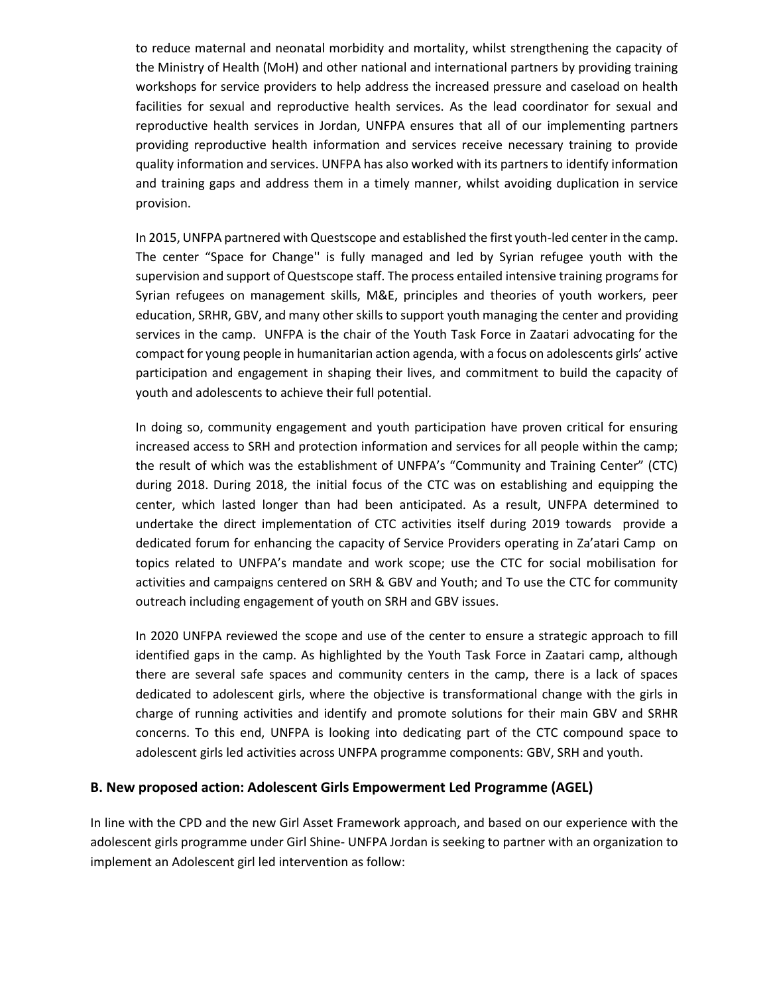to reduce maternal and neonatal morbidity and mortality, whilst strengthening the capacity of the Ministry of Health (MoH) and other national and international partners by providing training workshops for service providers to help address the increased pressure and caseload on health facilities for sexual and reproductive health services. As the lead coordinator for sexual and reproductive health services in Jordan, UNFPA ensures that all of our implementing partners providing reproductive health information and services receive necessary training to provide quality information and services. UNFPA has also worked with its partners to identify information and training gaps and address them in a timely manner, whilst avoiding duplication in service provision.

In 2015, UNFPA partnered with Questscope and established the first youth-led center in the camp. The center "Space for Change'' is fully managed and led by Syrian refugee youth with the supervision and support of Questscope staff. The process entailed intensive training programs for Syrian refugees on management skills, M&E, principles and theories of youth workers, peer education, SRHR, GBV, and many other skills to support youth managing the center and providing services in the camp. UNFPA is the chair of the Youth Task Force in Zaatari advocating for the compact for young people in humanitarian action agenda, with a focus on adolescents girls' active participation and engagement in shaping their lives, and commitment to build the capacity of youth and adolescents to achieve their full potential.

In doing so, community engagement and youth participation have proven critical for ensuring increased access to SRH and protection information and services for all people within the camp; the result of which was the establishment of UNFPA's "Community and Training Center" (CTC) during 2018. During 2018, the initial focus of the CTC was on establishing and equipping the center, which lasted longer than had been anticipated. As a result, UNFPA determined to undertake the direct implementation of CTC activities itself during 2019 towards provide a dedicated forum for enhancing the capacity of Service Providers operating in Za'atari Camp on topics related to UNFPA's mandate and work scope; use the CTC for social mobilisation for activities and campaigns centered on SRH & GBV and Youth; and To use the CTC for community outreach including engagement of youth on SRH and GBV issues.

In 2020 UNFPA reviewed the scope and use of the center to ensure a strategic approach to fill identified gaps in the camp. As highlighted by the Youth Task Force in Zaatari camp, although there are several safe spaces and community centers in the camp, there is a lack of spaces dedicated to adolescent girls, where the objective is transformational change with the girls in charge of running activities and identify and promote solutions for their main GBV and SRHR concerns. To this end, UNFPA is looking into dedicating part of the CTC compound space to adolescent girls led activities across UNFPA programme components: GBV, SRH and youth.

#### **B. New proposed action: Adolescent Girls Empowerment Led Programme (AGEL)**

In line with the CPD and the new Girl Asset Framework approach, and based on our experience with the adolescent girls programme under Girl Shine- UNFPA Jordan is seeking to partner with an organization to implement an Adolescent girl led intervention as follow: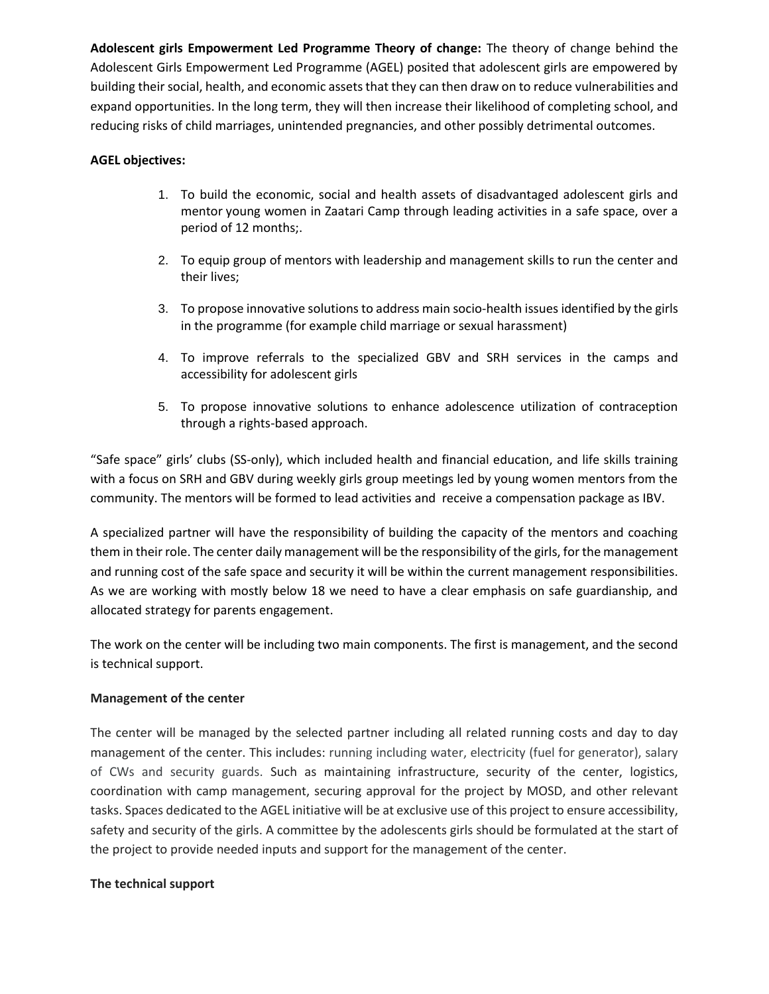**Adolescent girls Empowerment Led Programme Theory of change:** The theory of change behind the Adolescent Girls Empowerment Led Programme (AGEL) posited that adolescent girls are empowered by building their social, health, and economic assets that they can then draw on to reduce vulnerabilities and expand opportunities. In the long term, they will then increase their likelihood of completing school, and reducing risks of child marriages, unintended pregnancies, and other possibly detrimental outcomes.

## **AGEL objectives:**

- 1. To build the economic, social and health assets of disadvantaged adolescent girls and mentor young women in Zaatari Camp through leading activities in a safe space, over a period of 12 months;.
- 2. To equip group of mentors with leadership and management skills to run the center and their lives;
- 3. To propose innovative solutions to address main socio-health issues identified by the girls in the programme (for example child marriage or sexual harassment)
- 4. To improve referrals to the specialized GBV and SRH services in the camps and accessibility for adolescent girls
- 5. To propose innovative solutions to enhance adolescence utilization of contraception through a rights-based approach.

"Safe space" girls' clubs (SS-only), which included health and financial education, and life skills training with a focus on SRH and GBV during weekly girls group meetings led by young women mentors from the community. The mentors will be formed to lead activities and receive a compensation package as IBV.

A specialized partner will have the responsibility of building the capacity of the mentors and coaching them in their role. The center daily management will be the responsibility of the girls, for the management and running cost of the safe space and security it will be within the current management responsibilities. As we are working with mostly below 18 we need to have a clear emphasis on safe guardianship, and allocated strategy for parents engagement.

The work on the center will be including two main components. The first is management, and the second is technical support.

#### **Management of the center**

The center will be managed by the selected partner including all related running costs and day to day management of the center. This includes: running including water, electricity (fuel for generator), salary of CWs and security guards. Such as maintaining infrastructure, security of the center, logistics, coordination with camp management, securing approval for the project by MOSD, and other relevant tasks. Spaces dedicated to the AGEL initiative will be at exclusive use of this project to ensure accessibility, safety and security of the girls. A committee by the adolescents girls should be formulated at the start of the project to provide needed inputs and support for the management of the center.

#### **The technical support**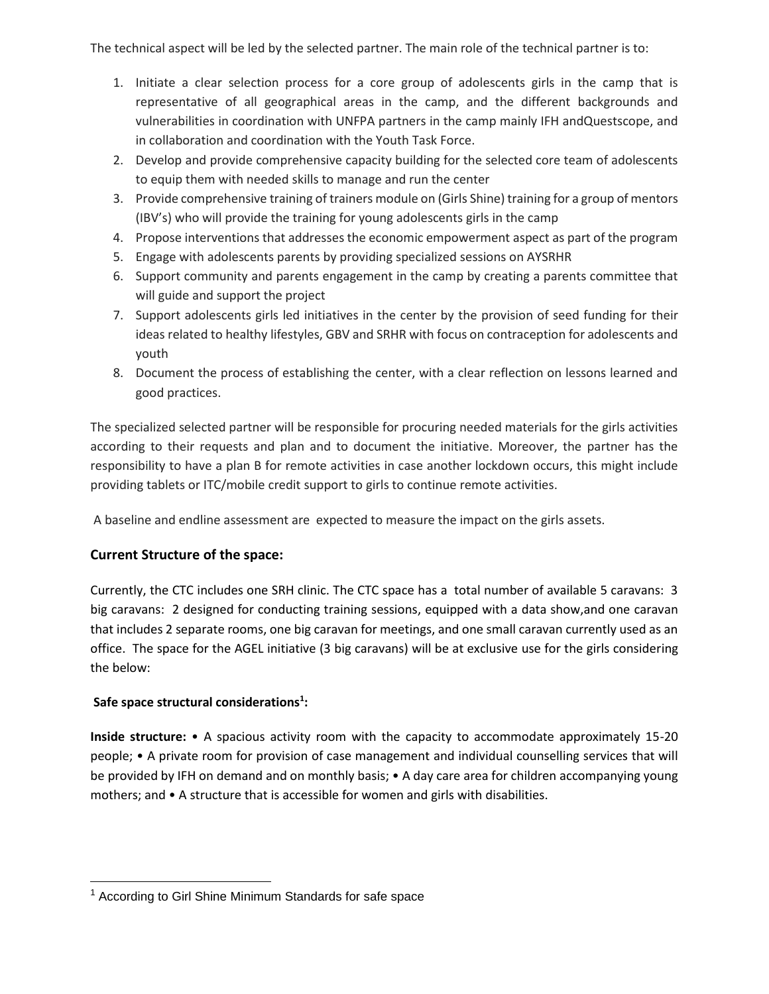The technical aspect will be led by the selected partner. The main role of the technical partner is to:

- 1. Initiate a clear selection process for a core group of adolescents girls in the camp that is representative of all geographical areas in the camp, and the different backgrounds and vulnerabilities in coordination with UNFPA partners in the camp mainly IFH andQuestscope, and in collaboration and coordination with the Youth Task Force.
- 2. Develop and provide comprehensive capacity building for the selected core team of adolescents to equip them with needed skills to manage and run the center
- 3. Provide comprehensive training of trainers module on (Girls Shine) training for a group of mentors (IBV's) who will provide the training for young adolescents girls in the camp
- 4. Propose interventions that addresses the economic empowerment aspect as part of the program
- 5. Engage with adolescents parents by providing specialized sessions on AYSRHR
- 6. Support community and parents engagement in the camp by creating a parents committee that will guide and support the project
- 7. Support adolescents girls led initiatives in the center by the provision of seed funding for their ideas related to healthy lifestyles, GBV and SRHR with focus on contraception for adolescents and youth
- 8. Document the process of establishing the center, with a clear reflection on lessons learned and good practices.

The specialized selected partner will be responsible for procuring needed materials for the girls activities according to their requests and plan and to document the initiative. Moreover, the partner has the responsibility to have a plan B for remote activities in case another lockdown occurs, this might include providing tablets or ITC/mobile credit support to girls to continue remote activities.

A baseline and endline assessment are expected to measure the impact on the girls assets.

# **Current Structure of the space:**

Currently, the CTC includes one SRH clinic. The CTC space has a total number of available 5 caravans: 3 big caravans: 2 designed for conducting training sessions, equipped with a data show,and one caravan that includes 2 separate rooms, one big caravan for meetings, and one small caravan currently used as an office. The space for the AGEL initiative (3 big caravans) will be at exclusive use for the girls considering the below:

# **Safe space structural considerations<sup>1</sup> :**

**Inside structure:** • A spacious activity room with the capacity to accommodate approximately 15-20 people; • A private room for provision of case management and individual counselling services that will be provided by IFH on demand and on monthly basis; • A day care area for children accompanying young mothers; and • A structure that is accessible for women and girls with disabilities.

<sup>&</sup>lt;sup>1</sup> According to Girl Shine Minimum Standards for safe space